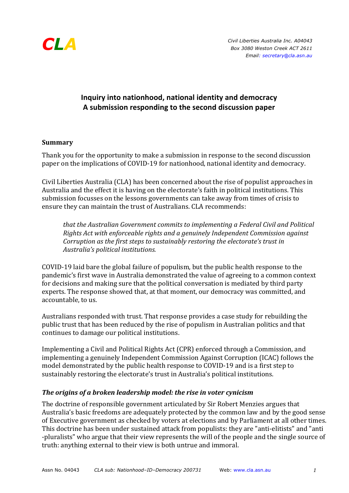

# **Inquiry into nationhood, national identity and democracy A submission responding to the second discussion paper**

#### **Summary**

Thank you for the opportunity to make a submission in response to the second discussion paper on the implications of COVID-19 for nationhood, national identity and democracy.

Civil Liberties Australia (CLA) has been concerned about the rise of populist approaches in Australia and the effect it is having on the electorate's faith in political institutions. This submission focusses on the lessons governments can take away from times of crisis to ensure they can maintain the trust of Australians. CLA recommends:

*that the Australian Government commits to implementing a Federal Civil and Political Rights Act with enforceable rights and a genuinely Independent Commission against Corruption as the first steps to sustainably restoring the electorate's trust in Australia's political institutions.*

COVID-19 laid bare the global failure of populism, but the public health response to the pandemic's first wave in Australia demonstrated the value of agreeing to a common context for decisions and making sure that the political conversation is mediated by third party experts. The response showed that, at that moment, our democracy was committed, and accountable, to us.

Australians responded with trust. That response provides a case study for rebuilding the public trust that has been reduced by the rise of populism in Australian politics and that continues to damage our political institutions.

Implementing a Civil and Political Rights Act (CPR) enforced through a Commission, and implementing a genuinely Independent Commission Against Corruption (ICAC) follows the model demonstrated by the public health response to COVID-19 and is a first step to sustainably restoring the electorate's trust in Australia's political institutions.

# The origins of a broken leadership model: the rise in voter cynicism

The doctrine of responsible government articulated by Sir Robert Menzies argues that Australia's basic freedoms are adequately protected by the common law and by the good sense of Executive government as checked by voters at elections and by Parliament at all other times. This doctrine has been under sustained attack from populists: they are "anti-elitists" and "anti -pluralists" who argue that their view represents the will of the people and the single source of truth: anything external to their view is both untrue and immoral.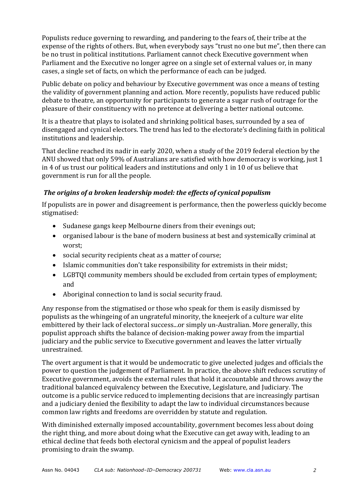Populists reduce governing to rewarding, and pandering to the fears of, their tribe at the expense of the rights of others. But, when everybody says "trust no one but me", then there can be no trust in political institutions. Parliament cannot check Executive government when Parliament and the Executive no longer agree on a single set of external values or, in many cases, a single set of facts, on which the performance of each can be judged.

Public debate on policy and behaviour by Executive government was once a means of testing the validity of government planning and action. More recently, populists have reduced public debate to theatre, an opportunity for participants to generate a sugar rush of outrage for the pleasure of their constituency with no pretence at delivering a better national outcome.

It is a theatre that plays to isolated and shrinking political bases, surrounded by a sea of disengaged and cynical electors. The trend has led to the electorate's declining faith in political institutions and leadership.

That decline reached its nadir in early 2020, when a study of the 2019 federal election by the ANU showed that only 59% of Australians are satisfied with how democracy is working, just 1 in 4 of us trust our political leaders and institutions and only 1 in 10 of us believe that government is run for all the people.

# *The origins of a broken leadership model: the effects of cynical populism*

If populists are in power and disagreement is performance, then the powerless quickly become stigmatised:

- Sudanese gangs keep Melbourne diners from their evenings out;
- organised labour is the bane of modern business at best and systemically criminal at worst;
- social security recipients cheat as a matter of course;
- Islamic communities don't take responsibility for extremists in their midst;
- LGBTOI community members should be excluded from certain types of employment: and
- Aboriginal connection to land is social security fraud.

Any response from the stigmatised or those who speak for them is easily dismissed by populists as the whingeing of an ungrateful minority, the kneejerk of a culture war elite embittered by their lack of electoral success...or simply un-Australian. More generally, this populist approach shifts the balance of decision-making power away from the impartial judiciary and the public service to Executive government and leaves the latter virtually unrestrained.

The overt argument is that it would be undemocratic to give unelected judges and officials the power to question the judgement of Parliament. In practice, the above shift reduces scrutiny of Executive government, avoids the external rules that hold it accountable and throws away the traditional balanced equivalency between the Executive, Legislature, and Judiciary. The outcome is a public service reduced to implementing decisions that are increasingly partisan and a judiciary denied the flexibility to adapt the law to individual circumstances because common law rights and freedoms are overridden by statute and regulation.

With diminished externally imposed accountability, government becomes less about doing the right thing, and more about doing what the Executive can get away with, leading to an ethical decline that feeds both electoral cynicism and the appeal of populist leaders promising to drain the swamp.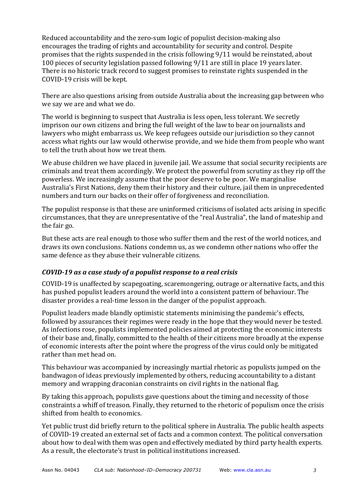Reduced accountability and the zero-sum logic of populist decision-making also encourages the trading of rights and accountability for security and control. Despite promises that the rights suspended in the crisis following 9/11 would be reinstated, about 100 pieces of security legislation passed following 9/11 are still in place 19 years later. There is no historic track record to suggest promises to reinstate rights suspended in the COVID-19 crisis will be kept.

There are also questions arising from outside Australia about the increasing gap between who we say we are and what we do.

The world is beginning to suspect that Australia is less open, less tolerant. We secretly imprison our own citizens and bring the full weight of the law to bear on journalists and lawyers who might embarrass us. We keep refugees outside our jurisdiction so they cannot access what rights our law would otherwise provide, and we hide them from people who want to tell the truth about how we treat them.

We abuse children we have placed in juvenile jail. We assume that social security recipients are criminals and treat them accordingly. We protect the powerful from scrutiny as they rip off the powerless. We increasingly assume that the poor deserve to be poor. We marginalise Australia's First Nations, deny them their history and their culture, jail them in unprecedented numbers and turn our backs on their offer of forgiveness and reconciliation.

The populist response is that these are uninformed criticisms of isolated acts arising in specific circumstances, that they are unrepresentative of the "real Australia", the land of mateship and the fair go.

But these acts are real enough to those who suffer them and the rest of the world notices, and draws its own conclusions. Nations condemn us, as we condemn other nations who offer the same defence as they abuse their vulnerable citizens.

#### *COVID-19* as a case study of a populist response to a real crisis

COVID-19 is unaffected by scapegoating, scaremongering, outrage or alternative facts, and this has pushed populist leaders around the world into a consistent pattern of behaviour. The disaster provides a real-time lesson in the danger of the populist approach.

Populist leaders made blandly optimistic statements minimising the pandemic's effects, followed by assurances their regimes were ready in the hope that they would never be tested. As infections rose, populists implemented policies aimed at protecting the economic interests of their base and, finally, committed to the health of their citizens more broadly at the expense of economic interests after the point where the progress of the virus could only be mitigated rather than met head on.

This behaviour was accompanied by increasingly martial rhetoric as populists jumped on the bandwagon of ideas previously implemented by others, reducing accountability to a distant memory and wrapping draconian constraints on civil rights in the national flag.

By taking this approach, populists gave questions about the timing and necessity of those constraints a whiff of treason. Finally, they returned to the rhetoric of populism once the crisis shifted from health to economics.

Yet public trust did briefly return to the political sphere in Australia. The public health aspects of COVID-19 created an external set of facts and a common context. The political conversation about how to deal with them was open and effectively mediated by third party health experts. As a result, the electorate's trust in political institutions increased.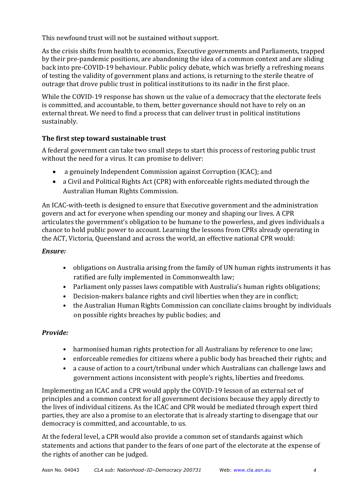This newfound trust will not be sustained without support.

As the crisis shifts from health to economics, Executive governments and Parliaments, trapped by their pre-pandemic positions, are abandoning the idea of a common context and are sliding back into pre-COVID-19 behaviour. Public policy debate, which was briefly a refreshing means of testing the validity of government plans and actions, is returning to the sterile theatre of outrage that drove public trust in political institutions to its nadir in the first place.

While the COVID-19 response has shown us the value of a democracy that the electorate feels is committed, and accountable, to them, better governance should not have to rely on an external threat. We need to find a process that can deliver trust in political institutions sustainably. 

# The first step toward sustainable trust

A federal government can take two small steps to start this process of restoring public trust without the need for a virus. It can promise to deliver:

- a genuinely Independent Commission against Corruption (ICAC); and
- a Civil and Political Rights Act (CPR) with enforceable rights mediated through the Australian Human Rights Commission.

An ICAC-with-teeth is designed to ensure that Executive government and the administration govern and act for everyone when spending our money and shaping our lives. A CPR articulates the government's obligation to be humane to the powerless, and gives individuals a chance to hold public power to account. Learning the lessons from CPRs already operating in the ACT, Victoria, Queensland and across the world, an effective national CPR would:

# *Ensure:*

- obligations on Australia arising from the family of UN human rights instruments it has ratified are fully implemented in Commonwealth law;
- Parliament only passes laws compatible with Australia's human rights obligations;
- Decision-makers balance rights and civil liberties when they are in conflict;
- the Australian Human Rights Commission can conciliate claims brought by individuals on possible rights breaches by public bodies; and

# *Provide:*

- harmonised human rights protection for all Australians by reference to one law;
- enforceable remedies for citizens where a public body has breached their rights; and
- a cause of action to a court/tribunal under which Australians can challenge laws and government actions inconsistent with people's rights, liberties and freedoms.

Implementing an ICAC and a CPR would apply the COVID-19 lesson of an external set of principles and a common context for all government decisions because they apply directly to the lives of individual citizens. As the ICAC and CPR would be mediated through expert third parties, they are also a promise to an electorate that is already starting to disengage that our democracy is committed, and accountable, to us.

At the federal level, a CPR would also provide a common set of standards against which statements and actions that pander to the fears of one part of the electorate at the expense of the rights of another can be judged.